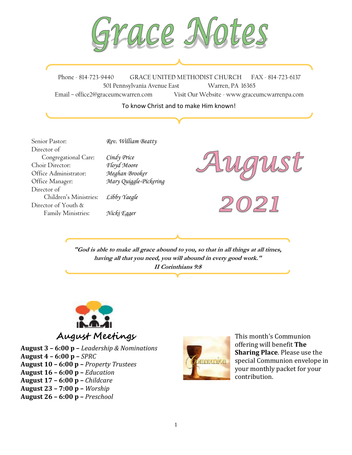$\overline{1}$ 

Phone - 814-723-9440 GRACE UNITED METHODIST CHURCH FAX - 814-723-6137 501 Pennsylvania Avenue East Warren, PA 16365 Email – office2@graceumcwarren.com Visit Our Website - www.graceumcwarrenpa.com

To know Christ and to make Him known!

Senior Pastor: *Rev. William Beatty* Director of Congregational Care: *Cindy Price* Choir Director: *Floyd Moore* Office Administrator: *Meghan Brooker* Office Manager: *Mary Quiggle-Pickering* Director of Children's Ministries: *Libby Yaegle* Director of Youth & Family Ministries: *Nicki Egger*

**"God is able to make all grace abound to you, so that in all things at all times, having all that you need, you will abound in every good work." II Corinthians 9:8**



**August 3 – 6:00 p –** *Leadership & Nominations* **August 4 – 6:00 p –** *SPRC* **August 10 – 6:00 p –** *Property Trustees* **August 16 – 6:00 p –** *Education* **August 17 – 6:00 p –** *Childcare* **August 23 – 7:00 p –** *Worship* **August 26 – 6:00 p –** *Preschool*



This month's Communion offering will benefit **The Sharing Place**. Please use the special Communion envelope in your monthly packet for your contribution.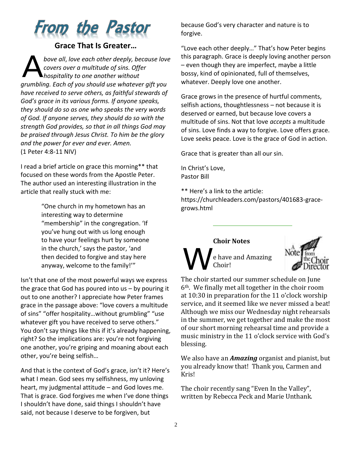

#### **Grace That Is Greater…**

*bove all*, *love each other deeply, because love covers over a multitude of sins. Offer hospitality to one another without grumbling. Each of you should use whatever gift you have received to serve others, as faithful stewards of God's grace in its various forms. If anyone speaks, they should do so as one who speaks the very words of God. If anyone serves, they should do so with the strength God provides, so that in all things God may be praised through Jesus Christ. To him be the glory and the power for ever and ever. Amen.* (1 Peter 4:8-11 NIV) A

I read a brief article on grace this morning\*\* that focused on these words from the Apostle Peter. The author used an interesting illustration in the article that really stuck with me:

> "One church in my hometown has an interesting way to determine "membership" in the congregation. 'If you've hung out with us long enough to have your feelings hurt by someone in the church,' says the pastor, 'and then decided to forgive and stay here anyway, welcome to the family!'"

Isn't that one of the most powerful ways we express the grace that God has poured into us – by pouring it out to one another? I appreciate how Peter frames grace in the passage above: "love covers a multitude of sins" "offer hospitality…without grumbling" "use whatever gift you have received to serve others." You don't say things like this if it's already happening, right? So the implications are: you're not forgiving one another, you're griping and moaning about each other, you're being selfish…

And that is the context of God's grace, isn't it? Here's what I mean. God sees my selfishness, my unloving heart, my judgmental attitude – and God loves me. That is grace. God forgives me when I've done things I shouldn't have done, said things I shouldn't have said, not because I deserve to be forgiven, but

because God's very character and nature is to forgive.

"Love each other deeply…" That's how Peter begins this paragraph. Grace is deeply loving another person – even though they are imperfect, maybe a little bossy, kind of opinionated, full of themselves, whatever. Deeply love one another.

Grace grows in the presence of hurtful comments, selfish actions, thoughtlessness – not because it is deserved or earned, but because love covers a multitude of sins. Not that love *accepts* a multitude of sins. Love finds a way to forgive. Love offers grace. Love seeks peace. Love is the grace of God in action.

Grace that is greater than all our sin.

In Christ's Love, Pastor Bill

\*\* Here's a link to the article: https://churchleaders.com/pastors/401683-gracegrows.html





The choir started our summer schedule on June 6th. We finally met all together in the choir room at 10:30 in preparation for the 11 o'clock worship service, and it seemed like we never missed a beat! Although we miss our Wednesday night rehearsals in the summer, we get together and make the most of our short morning rehearsal time and provide a music ministry in the 11 o'clock service with God's blessing.

We also have an *Amazing* organist and pianist, but you already know that! Thank you, Carmen and Kris!

The choir recently sang "Even In the Valley", written by Rebecca Peck and Marie Unthank.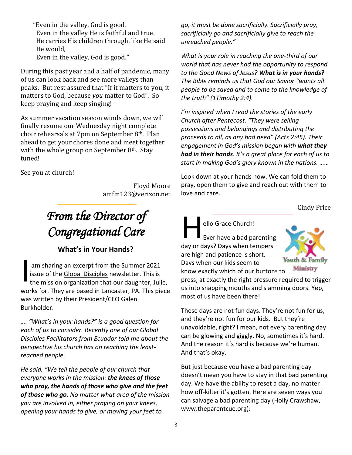"Even in the valley, God is good. Even in the valley He is faithful and true. He carries His children through, like He said He would, Even in the valley, God is good."

During this past year and a half of pandemic, many of us can look back and see more valleys than peaks. But rest assured that "If it matters to you, it matters to God, because *you* matter to God". So keep praying and keep singing!

As summer vacation season winds down, we will finally resume our Wednesday night complete choir rehearsals at 7pm on September 8th. Plan ahead to get your chores done and meet together with the whole group on September  $8<sup>th</sup>$ . Stay tuned!

See you at church!

Floyd Moore amfm123@verizon.net

# *From the Director of Congregational Care*

### **What's in Your Hands?**

am sharing an excerpt from the Summer 2021 issue of the Global Disciples newsletter. This is the mission organization that our daughter, Julie, works for. They are based in Lancaster, PA. This piece was written by their President/CEO Galen Burkholder. I

*…. "What's in your hands?" is a good question for each of us to consider. Recently one of our Global Disciples Facilitators from Ecuador told me about the perspective his church has on reaching the leastreached people.* 

*He said, "We tell the people of our church that everyone works in the mission: the knees of those who pray, the hands of those who give and the feet of those who go. No matter what area of the mission you are involved in, either praying on your knees, opening your hands to give, or moving your feet to* 

*go, it must be done sacrificially. Sacrificially pray, sacrificially go and sacrificially give to reach the unreached people."* 

*What is your role in reaching the one-third of our world that has never had the opportunity to respond to the Good News of Jesus? What is in your hands? The Bible reminds us that God our Savior "wants all people to be saved and to come to the knowledge of the truth" (1Timothy 2:4).* 

*I'm inspired when I read the stories of the early Church after Pentecost. "They were selling possessions and belongings and distributing the proceeds to all, as any had need" (Acts 2:45). Their engagement in God's mission began with what they had in their hands. It's a great place for each of us to start in making God's glory known in the nations. ……* 

Look down at your hands now. We can fold them to pray, open them to give and reach out with them to love and care.

Cindy Price

# ello Grace Church! Ever have a bad parenting day or days? Days when tempers are high and patience is short. H

Days when our kids seem to



know exactly which of our buttons to press, at exactly the right pressure required to trigger us into snapping mouths and slamming doors. Yep, most of us have been there!

These days are not fun days. They're not fun for us, and they're not fun for our kids. But they're unavoidable, right? I mean, not every parenting day can be glowing and giggly. No, sometimes it's hard. And the reason it's hard is because we're human. And that's okay.

But just because you have a bad parenting day doesn't mean you have to stay in that bad parenting day. We have the ability to reset a day, no matter how off-kilter it's gotten. Here are seven ways you can salvage a bad parenting day (Holly Crawshaw, www.theparentcue.org):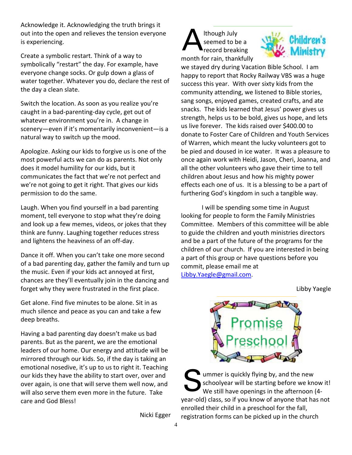Acknowledge it. Acknowledging the truth brings it out into the open and relieves the tension everyone is experiencing.

Create a symbolic restart. Think of a way to symbolically "restart" the day. For example, have everyone change socks. Or gulp down a glass of water together. Whatever you do, declare the rest of the day a clean slate.

Switch the location. As soon as you realize you're caught in a bad-parenting-day cycle, get out of whatever environment you're in. A change in scenery—even if it's momentarily inconvenient—is a natural way to switch up the mood.

Apologize. Asking our kids to forgive us is one of the most powerful acts we can do as parents. Not only does it model humility for our kids, but it communicates the fact that we're not perfect and we're not going to get it right. That gives our kids permission to do the same.

Laugh. When you find yourself in a bad parenting moment, tell everyone to stop what they're doing and look up a few memes, videos, or jokes that they think are funny. Laughing together reduces stress and lightens the heaviness of an off-day.

Dance it off. When you can't take one more second of a bad parenting day, gather the family and turn up the music. Even if your kids act annoyed at first, chances are they'll eventually join in the dancing and forget why they were frustrated in the first place.

Get alone. Find five minutes to be alone. Sit in as much silence and peace as you can and take a few deep breaths.

Having a bad parenting day doesn't make us bad parents. But as the parent, we are the emotional leaders of our home. Our energy and attitude will be mirrored through our kids. So, if the day is taking an emotional nosedive, it's up to us to right it. Teaching our kids they have the ability to start over, over and over again, is one that will serve them well now, and will also serve them even more in the future. Take care and God Bless!

Nicki Egger

#### lthough July seemed to be a record breaking month for rain, thankfully A



we stayed dry during Vacation Bible School. I am happy to report that Rocky Railway VBS was a huge success this year. With over sixty kids from the community attending, we listened to Bible stories, sang songs, enjoyed games, created crafts, and ate snacks. The kids learned that Jesus' power gives us strength, helps us to be bold, gives us hope, and lets us live forever. The kids raised over \$400.00 to donate to Foster Care of Children and Youth Services of Warren, which meant the lucky volunteers got to be pied and doused in ice water. It was a pleasure to once again work with Heidi, Jason, Cheri, Joanna, and all the other volunteers who gave their time to tell children about Jesus and how his mighty power effects each one of us. It is a blessing to be a part of furthering God's kingdom in such a tangible way.

I will be spending some time in August looking for people to form the Family Ministries Committee. Members of this committee will be able to guide the children and youth ministries directors and be a part of the future of the programs for the children of our church. If you are interested in being a part of this group or have questions before you commit, please email me at [Libby.Yaegle@gmail.com.](mailto:Libby.Yaegle@gmail.com)

Libby Yaegle



ummer is quickly flying by, and the new schoolyear will be starting before we know it! We still have openings in the afternoon (4 year-old) class, so if you know of anyone that has not enrolled their child in a preschool for the fall, registration forms can be picked up in the church S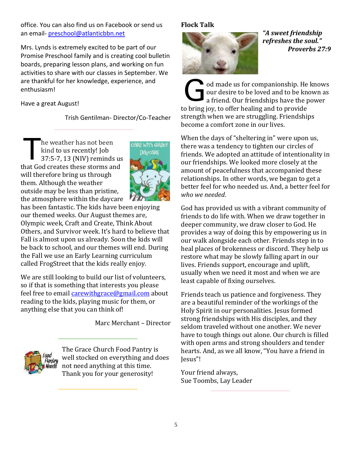office. You can also find us on Facebook or send us an email- [preschool@atlanticbbn.net](mailto:preschool@atlanticbbn.net)

Mrs. Lynds is extremely excited to be part of our Promise Preschool family and is creating cool bulletin boards, preparing lesson plans, and working on fun activities to share with our classes in September. We are thankful for her knowledge, experience, and enthusiasm!

Have a great August!

Trish Gentilman- Director/Co-Teacher

he weather has not been kind to us recently! Job 37:5-7, 13 (NIV) reminds us that God creates these storms and will therefore bring us through them. Although the weather outside may be less than pristine, the atmosphere within the daycare T



has been fantastic. The kids have been enjoying our themed weeks. Our August themes are, Olympic week, Craft and Create, Think About Others, and Survivor week. It's hard to believe that Fall is almost upon us already. Soon the kids will be back to school, and our themes will end. During the Fall we use an Early Learning curriculum called FrogStreet that the kids really enjoy.

We are still looking to build our list of volunteers, so if that is something that interests you please feel free to email *[carewithgrace@gmail.com](mailto:carewithgrace@gmail.com)* about reading to the kids, playing music for them, or anything else that you can think of!

Marc Merchant – Director



The Grace Church Food Pantry is well stocked on everything and does not need anything at this time. Thank you for your generosity!

# **Flock Talk**



*"A sweet friendship refreshes the soul." Proverbs 27:9*

od made us for companionship. He knows our desire to be loved and to be known as a friend. Our friendships have the power to bring joy, to offer healing and to provide strength when we are struggling. Friendships become a comfort zone in our lives. G

When the days of "sheltering in" were upon us, there was a tendency to tighten our circles of friends. We adopted an attitude of intentionality in our friendships. We looked more closely at the amount of peacefulness that accompanied these relationships. In other words, we began to get a better feel for who needed us. And, a better feel for *who we needed*.

God has provided us with a vibrant community of friends to do life with. When we draw together in deeper community, we draw closer to God. He provides a way of doing this by empowering us in our walk alongside each other. Friends step in to heal places of brokenness or discord. They help us restore what may be slowly falling apart in our lives. Friends support, encourage and uplift, usually when we need it most and when we are least capable of fixing ourselves.

Friends teach us patience and forgiveness. They are a beautiful reminder of the workings of the Holy Spirit in our personalities. Jesus formed strong friendships with His disciples, and they seldom traveled without one another. We never have to tough things out alone. Our church is filled with open arms and strong shoulders and tender hearts. And, as we all know, "You have a friend in Jesus"!

Your friend always, Sue Toombs, Lay Leader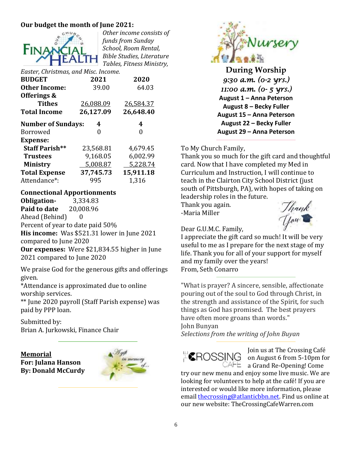# **Our budget the month of June 2021:**



*Other income consists of funds from Sunday School, Room Rental, Bible Studies, Literature Tables, Fitness Ministry,* 

| Easter, Christmas, and Misc. Income. |           |           |  |  |  |  |  |  |
|--------------------------------------|-----------|-----------|--|--|--|--|--|--|
| <b>BUDGET</b>                        | 2021      | 2020      |  |  |  |  |  |  |
| <b>Other Income:</b>                 | 39.00     | 64.03     |  |  |  |  |  |  |
| Offerings &                          |           |           |  |  |  |  |  |  |
| <b>Tithes</b>                        | 26,088.09 | 26,584.37 |  |  |  |  |  |  |
| <b>Total Income</b>                  | 26,127.09 | 26,648.40 |  |  |  |  |  |  |
| <b>Number of Sundays:</b>            | 4         | 4         |  |  |  |  |  |  |
| Borrowed                             | 0         | O         |  |  |  |  |  |  |
| <b>Expense:</b>                      |           |           |  |  |  |  |  |  |
| <b>Staff Parish**</b>                | 23,568.81 | 4,679.45  |  |  |  |  |  |  |
| <b>Trustees</b>                      | 9,168.05  | 6,002.99  |  |  |  |  |  |  |
| <b>Ministry</b>                      | 5,008.87  | 5,228.74  |  |  |  |  |  |  |
| <b>Total Expense</b>                 | 37,745.73 | 15,911.18 |  |  |  |  |  |  |
| Attendance*:                         | 995       | 1,316     |  |  |  |  |  |  |

#### **Connectional Apportionments**

**Obligation-** 3,334.83 **Paid to date** 20,008.96 Ahead (Behind) 0 Percent of year to date paid 50% **His income:** Was \$521.31 lower in June 2021 compared to June 2020 **Our expenses:** Were \$21,834.55 higher in June 2021 compared to June 2020

We praise God for the generous gifts and offerings given.

\*Attendance is approximated due to online worship services.

\*\* June 2020 payroll (Staff Parish expense) was paid by PPP loan.

Submitted by: Brian A. Jurkowski, Finance Chair

**Memorial For: Julana Hanson By: Donald McCurdy**





**During Worship** *9:30 a.m. (0-2 yrs.) 11:00 a.m. (0- 5 yrs.)*  **August 1 – Anna Peterson August 8 – Becky Fuller August 15 – Anna Peterson August 22 – Becky Fuller August 29 – Anna Peterson**

#### To My Church Family,

Thank you so much for the gift card and thoughtful card. Now that I have completed my Med in Curriculum and Instruction, I will continue to teach in the Clairton City School District (just south of Pittsburgh, PA), with hopes of taking on leadership roles in the future.

Thank you again. -Maria Miller



Dear G.U.M.C. Family,

I appreciate the gift card so much! It will be very useful to me as I prepare for the next stage of my life. Thank you for all of your support for myself and my family over the years! From, Seth Conarro

"What is prayer? A sincere, sensible, affectionate pouring out of the soul to God through Christ, in the strength and assistance of the Spirit, for such things as God has promised. The best prayers have often more groans than words."

John Bunyan

*Selections from the writing of John Buyan*



Join us at The Crossing Café  $H\blacksquare$ ROSSING on August 6 from 5-10pm for  $\Box$  AFE a Grand Re-Opening! Come

try our new menu and enjoy some live music. We are looking for volunteers to help at the café! If you are interested or would like more information, please emai[l thecrossing@atlanticbbn.net.](mailto:thecrossing@atlanticbbn.net) Find us online at our new website: TheCrossingCafeWarren.com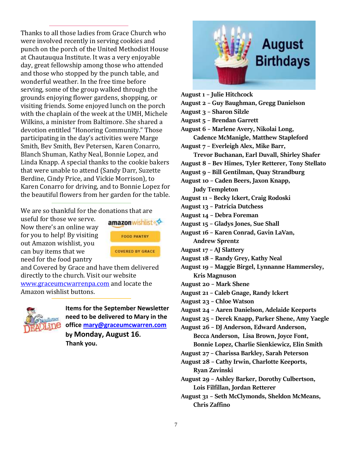Thanks to all those ladies from Grace Church who were involved recently in serving cookies and punch on the porch of the United Methodist House at Chautauqua Institute. It was a very enjoyable day, great fellowship among those who attended and those who stopped by the punch table, and wonderful weather. In the free time before serving, some of the group walked through the grounds enjoying flower gardens, shopping, or visiting friends. Some enjoyed lunch on the porch with the chaplain of the week at the UMH, Michele Wilkins, a minister from Baltimore. She shared a devotion entitled "Honoring Community." Those participating in the day's activities were Marge Smith, Bev Smith, Bev Petersen, Karen Conarro, Blanch Shuman, Kathy Neal, Bonnie Lopez, and Linda Knapp. A special thanks to the cookie bakers that were unable to attend (Sandy Darr, Suzette Berdine, Cindy Price, and Vickie Morrison), to Karen Conarro for driving, and to Bonnie Lopez for the beautiful flowers from her garden for the table.

We are so thankful for the donations that are

useful for those we serve. Now there's an online way for you to help! By visiting out Amazon wishlist, you can buy items that we need for the food pantry



and Covered by Grace and have them delivered directly to the church. Visit our website [www.graceumcwarrenpa.com](http://www.graceumcwarrenpa.com/) and locate the Amazon wishlist buttons.



**Items for the September Newsletter need to be delivered to Mary in the office [mary@graceumcwarren.com](mailto:mary@graceumcwarren.com) by Monday, August 16. Thank you.**



**August 1 – Julie Hitchcock August 2 – Guy Baughman, Gregg Danielson August 3 – Sharon Silzle August 5 – Brendan Garrett August 6 – Marlene Avery, Nikolai Long, Cadence McManigle, Matthew Stapleford August 7 – Everleigh Alex, Mike Barr, Trevor Buchanan, Earl Duvall, Shirley Shafer August 8 – Bev Himes, Tyler Retterer, Tony Stellato August 9 – Bill Gentilman, Quay Strandburg August 10 – Caden Beers, Jaxon Knapp, Judy Templeton August 11 – Becky Ickert, Craig Rodoski August 13 – Patricia Dutchess August 14 – Debra Foreman August 15 – Gladys Jones, Sue Shall August 16 – Karen Conrad, Gavin LaVan, Andrew Sprentz August 17 – AJ Slattery August 18 – Randy Grey, Kathy Neal August 19 – Maggie Birgel, Lynnanne Hammersley, Kris Magnuson August 20 – Mark Shene August 21 – Caleb Gnage, Randy Ickert August 23 – Chloe Watson August 24 – Aaren Danielson, Adelaide Keeports August 25 – Derek Knapp, Parker Shene, Amy Yaegle August 26 – DJ Anderson, Edward Anderson, Becca Anderson, Lisa Brown, Joyce Font, Bonnie Lopez, Charlie Sienkiewicz, Elin Smith August 27 – Charissa Barkley, Sarah Peterson August 28 – Cathy Irwin, Charlotte Keeports, Ryan Zavinski August 29 – Ashley Barker, Dorothy Culbertson, Lois Filfillan, Jordan Retterer August 31 – Seth McClymonds, Sheldon McMeans, Chris Zaffino**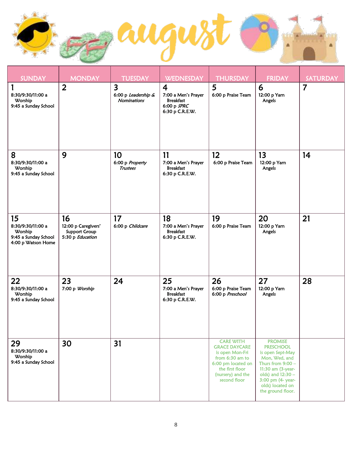

| SUNDAY                                                                                         | <b>MONDAY</b>                                                         | <b>TUESDAY</b>                                                       | WEDNESDAY                                                                                     | <b>THURSDAY</b>                                                                                                                                              | <b>FRIDAY</b>                                                                                                                                                                                          | <b>SATURDAY</b> |
|------------------------------------------------------------------------------------------------|-----------------------------------------------------------------------|----------------------------------------------------------------------|-----------------------------------------------------------------------------------------------|--------------------------------------------------------------------------------------------------------------------------------------------------------------|--------------------------------------------------------------------------------------------------------------------------------------------------------------------------------------------------------|-----------------|
| 8:30/9:30/11:00 a<br>Worship<br>9:45 a Sunday School                                           | $\overline{2}$                                                        | $\overline{\mathbf{3}}$<br>6:00 p Leadership &<br><b>Nominations</b> | $\boldsymbol{4}$<br>7:00 a Men's Prayer<br><b>Breakfast</b><br>6:00 p SPRC<br>6:30 p C.R.E.W. | 5<br>6:00 p Praise Team                                                                                                                                      | 6<br>12:00 p Yarn<br>Angels                                                                                                                                                                            | $\overline{7}$  |
| 8<br>8:30/9:30/11:00 a<br>Worship<br>9:45 a Sunday School                                      | 9                                                                     | 10<br>6:00 p Property<br><b>Trustees</b>                             | 11<br>7:00 a Men's Prayer<br><b>Breakfast</b><br>6:30 p C.R.E.W.                              | 12 <sup>2</sup><br>6:00 p Praise Team                                                                                                                        | 13<br>12:00 p Yarn<br>Angels                                                                                                                                                                           | 14              |
| 15 <sub>15</sub><br>8:30/9:30/11:00 a<br>Worship<br>9:45 a Sunday School<br>4:00 p Watson Home | 16<br>12:00 p Caregivers'<br><b>Support Group</b><br>5:30 p Education | 17<br>6:00 p Childcare                                               | 18<br>7:00 a Men's Prayer<br><b>Breakfast</b><br>6:30 p C.R.E.W.                              | 19<br>6:00 p Praise Team                                                                                                                                     | 20<br>12:00 p Yarn<br>Angels                                                                                                                                                                           | 21              |
| 22<br>8:30/9:30/11:00 a<br>Worship<br>9:45 a Sunday School                                     | 23<br>7:00 p Worship                                                  | 24                                                                   | 25<br>7:00 a Men's Prayer<br><b>Breakfast</b><br>6:30 p C.R.E.W.                              | 26<br>6:00 p Praise Team<br>6:00 p Preschool                                                                                                                 | 27<br>12:00 p Yarn<br>Angels                                                                                                                                                                           | 28              |
| 29<br>8:30/9:30/11:00 a<br>Worship<br>9:45 a Sunday School                                     | 30                                                                    | 31                                                                   |                                                                                               | <b>CARE WITH</b><br><b>GRACE DAYCARE</b><br>is open Mon-Fri<br>from 6:30 am to<br>6:00 pm located on<br>the first floor<br>(nursery) and the<br>second floor | <b>PROMISE</b><br><b>PRESCHOOL</b><br>is open Sept-May<br>Mon, Wed, and<br>Thurs from $9:00 -$<br>11:30 am (3-year-<br>olds) and 12:30 -<br>3:00 pm (4- year-<br>olds) located on<br>the ground floor. |                 |